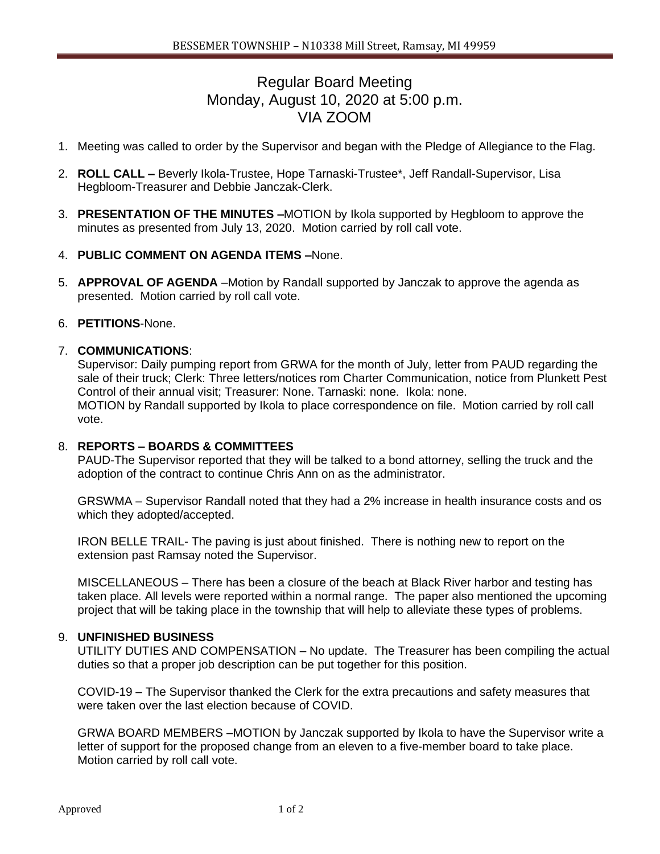# Regular Board Meeting Monday, August 10, 2020 at 5:00 p.m. VIA ZOOM

- 1. Meeting was called to order by the Supervisor and began with the Pledge of Allegiance to the Flag.
- 2. **ROLL CALL –** Beverly Ikola-Trustee, Hope Tarnaski-Trustee\*, Jeff Randall-Supervisor, Lisa Hegbloom-Treasurer and Debbie Janczak-Clerk.
- 3. **PRESENTATION OF THE MINUTES –**MOTION by Ikola supported by Hegbloom to approve the minutes as presented from July 13, 2020. Motion carried by roll call vote.
- 4. **PUBLIC COMMENT ON AGENDA ITEMS –**None.
- 5. **APPROVAL OF AGENDA** –Motion by Randall supported by Janczak to approve the agenda as presented. Motion carried by roll call vote.

## 6. **PETITIONS**-None.

#### 7. **COMMUNICATIONS**:

Supervisor: Daily pumping report from GRWA for the month of July, letter from PAUD regarding the sale of their truck; Clerk: Three letters/notices rom Charter Communication, notice from Plunkett Pest Control of their annual visit; Treasurer: None. Tarnaski: none. Ikola: none. MOTION by Randall supported by Ikola to place correspondence on file. Motion carried by roll call vote.

#### 8. **REPORTS – BOARDS & COMMITTEES**

PAUD-The Supervisor reported that they will be talked to a bond attorney, selling the truck and the adoption of the contract to continue Chris Ann on as the administrator.

GRSWMA – Supervisor Randall noted that they had a 2% increase in health insurance costs and os which they adopted/accepted.

IRON BELLE TRAIL- The paving is just about finished. There is nothing new to report on the extension past Ramsay noted the Supervisor.

MISCELLANEOUS – There has been a closure of the beach at Black River harbor and testing has taken place. All levels were reported within a normal range. The paper also mentioned the upcoming project that will be taking place in the township that will help to alleviate these types of problems.

#### 9. **UNFINISHED BUSINESS**

UTILITY DUTIES AND COMPENSATION – No update. The Treasurer has been compiling the actual duties so that a proper job description can be put together for this position.

COVID-19 – The Supervisor thanked the Clerk for the extra precautions and safety measures that were taken over the last election because of COVID.

GRWA BOARD MEMBERS –MOTION by Janczak supported by Ikola to have the Supervisor write a letter of support for the proposed change from an eleven to a five-member board to take place. Motion carried by roll call vote.